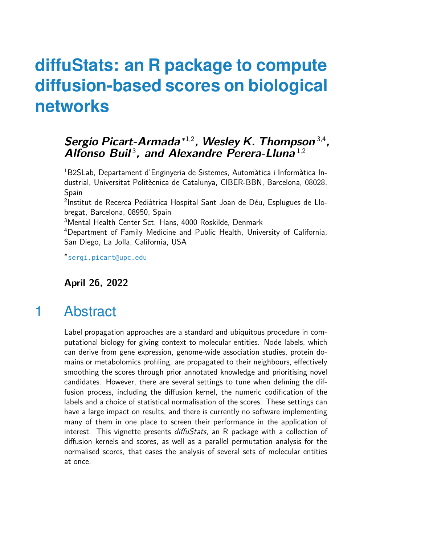# **diffuStats: an R package to compute diffusion-based scores on biological networks**

### **Sergio Picart-Armada** ∗1,2**, Wesley K. Thompson** 3,4 **,** Alfonso Buil<sup>3</sup>, and Alexandre Perera-Lluna<sup>1,2</sup>

<sup>1</sup>B2SLab, Departament d'Enginyeria de Sistemes, Automàtica i Informàtica Industrial, Universitat Politècnica de Catalunya, CIBER-BBN, Barcelona, 08028, Spain

<sup>2</sup>Institut de Recerca Pediàtrica Hospital Sant Joan de Déu, Esplugues de Llobregat, Barcelona, 08950, Spain

<sup>3</sup>Mental Health Center Sct. Hans, 4000 Roskilde, Denmark

<sup>4</sup>Department of Family Medicine and Public Health, University of California, San Diego, La Jolla, California, USA

∗ [sergi.picart@upc.edu](mailto:sergi.picart@upc.edu)

**April 26, 2022**

## 1 Abstract

Label propagation approaches are a standard and ubiquitous procedure in computational biology for giving context to molecular entities. Node labels, which can derive from gene expression, genome-wide association studies, protein domains or metabolomics profiling, are propagated to their neighbours, effectively smoothing the scores through prior annotated knowledge and prioritising novel candidates. However, there are several settings to tune when defining the diffusion process, including the diffusion kernel, the numeric codification of the labels and a choice of statistical normalisation of the scores. These settings can have a large impact on results, and there is currently no software implementing many of them in one place to screen their performance in the application of interest. This vignette presents diffuStats, an R package with a collection of diffusion kernels and scores, as well as a parallel permutation analysis for the normalised scores, that eases the analysis of several sets of molecular entities at once.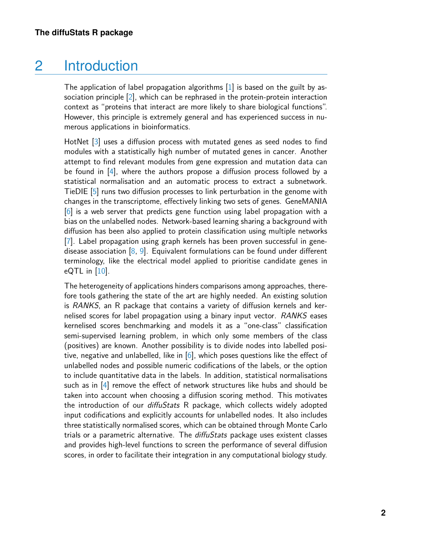## 2 Introduction

The application of label propagation algorithms  $[1]$  is based on the guilt by association principle [\[2\]](#page-21-1), which can be rephrased in the protein-protein interaction context as "proteins that interact are more likely to share biological functions". However, this principle is extremely general and has experienced success in numerous applications in bioinformatics.

HotNet [\[3\]](#page-21-2) uses a diffusion process with mutated genes as seed nodes to find modules with a statistically high number of mutated genes in cancer. Another attempt to find relevant modules from gene expression and mutation data can be found in [\[4\]](#page-21-3), where the authors propose a diffusion process followed by a statistical normalisation and an automatic process to extract a subnetwork. TieDIE [\[5\]](#page-21-4) runs two diffusion processes to link perturbation in the genome with changes in the transcriptome, effectively linking two sets of genes. GeneMANIA [\[6\]](#page-21-5) is a web server that predicts gene function using label propagation with a bias on the unlabelled nodes. Network-based learning sharing a background with diffusion has been also applied to protein classification using multiple networks [\[7\]](#page-21-6). Label propagation using graph kernels has been proven successful in genedisease association [\[8,](#page-21-7) [9\]](#page-21-8). Equivalent formulations can be found under different terminology, like the electrical model applied to prioritise candidate genes in eQTL in  $[10]$ .

The heterogeneity of applications hinders comparisons among approaches, therefore tools gathering the state of the art are highly needed. An existing solution is RANKS, an R package that contains a variety of diffusion kernels and kernelised scores for label propagation using a binary input vector. RANKS eases kernelised scores benchmarking and models it as a "one-class" classification semi-supervised learning problem, in which only some members of the class (positives) are known. Another possibility is to divide nodes into labelled positive, negative and unlabelled, like in  $[6]$ , which poses questions like the effect of unlabelled nodes and possible numeric codifications of the labels, or the option to include quantitative data in the labels. In addition, statistical normalisations such as in  $[4]$  remove the effect of network structures like hubs and should be taken into account when choosing a diffusion scoring method. This motivates the introduction of our *diffuStats* R package, which collects widely adopted input codifications and explicitly accounts for unlabelled nodes. It also includes three statistically normalised scores, which can be obtained through Monte Carlo trials or a parametric alternative. The diffuStats package uses existent classes and provides high-level functions to screen the performance of several diffusion scores, in order to facilitate their integration in any computational biology study.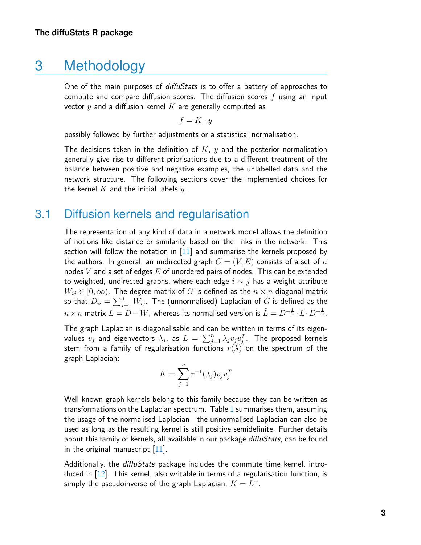### 3 Methodology

One of the main purposes of *diffuStats* is to offer a battery of approaches to compute and compare diffusion scores. The diffusion scores  $f$  using an input vector  $y$  and a diffusion kernel  $K$  are generally computed as

$$
f = K \cdot y
$$

possibly followed by further adjustments or a statistical normalisation.

The decisions taken in the definition of  $K$ ,  $y$  and the posterior normalisation generally give rise to different priorisations due to a different treatment of the balance between positive and negative examples, the unlabelled data and the network structure. The following sections cover the implemented choices for the kernel  $K$  and the initial labels  $y$ .

#### 3.1 Diffusion kernels and regularisation

The representation of any kind of data in a network model allows the definition of notions like distance or similarity based on the links in the network. This section will follow the notation in [\[11\]](#page-22-1) and summarise the kernels proposed by the authors. In general, an undirected graph  $G = (V, E)$  consists of a set of n nodes  $V$  and a set of edges  $E$  of unordered pairs of nodes. This can be extended to weighted, undirected graphs, where each edge  $i \sim j$  has a weight attribute  $W_{ij} \in [0,\infty)$ . The degree matrix of G is defined as the  $n \times n$  diagonal matrix so that  $D_{ii} = \sum_{j=1}^n \bar{W_{ij}}.$  The (unnormalised) Laplacian of  $G$  is defined as the  $n \times n$  matrix  $L = D - W$ , whereas its normalised version is  $\tilde{L} = D^{-\frac{1}{2}} \! \cdot L \cdot D^{-\frac{1}{2}}.$ 

The graph Laplacian is diagonalisable and can be written in terms of its eigenvalues  $v_j$  and eigenvectors  $\lambda_j$ , as  $L \, = \, \sum_{j=1}^n \lambda_j v_j v_j^T$ . The proposed kernels stem from a family of regularisation functions  $r(\lambda)$  on the spectrum of the graph Laplacian:

$$
K = \sum_{j=1}^{n} r^{-1}(\lambda_j) v_j v_j^T
$$

Well known graph kernels belong to this family because they can be written as transformations on the Laplacian spectrum. Table [1](#page-3-0) summarises them, assuming the usage of the normalised Laplacian - the unnormalised Laplacian can also be used as long as the resulting kernel is still positive semidefinite. Further details about this family of kernels, all available in our package diffuStats, can be found in the original manuscript [\[11\]](#page-22-1).

Additionally, the *diffuStats* package includes the commute time kernel, introduced in [\[12\]](#page-22-2). This kernel, also writable in terms of a regularisation function, is simply the pseudoinverse of the graph Laplacian,  $K=L^\pm.$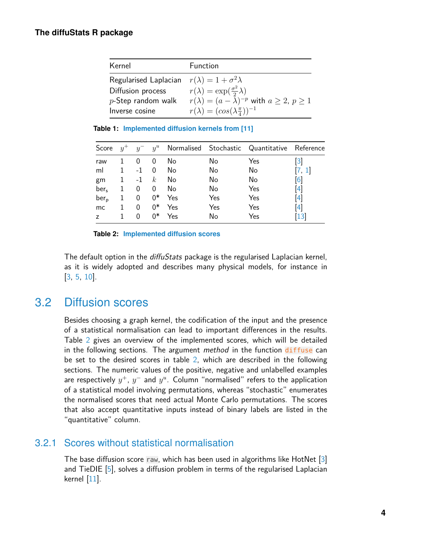<span id="page-3-0"></span>

| Kernel                                                    | Function                                                  |
|-----------------------------------------------------------|-----------------------------------------------------------|
| Regularised Laplacian $r(\lambda) = 1 + \sigma^2 \lambda$ |                                                           |
| Diffusion process                                         | $r(\lambda) = \exp(\frac{\sigma^2}{2}\lambda)$            |
| $p\mathsf{-Step}$ random walk                             | $r(\lambda) = (a - \lambda)^{-p}$ with $a \ge 2, p \ge 1$ |
| Inverse cosine                                            | $r(\lambda) = (\cos(\lambda \frac{\pi}{4}))^{-1}$         |

<span id="page-3-1"></span>**Table 1: Implemented diffusion kernels from [\[11\]](#page-22-1)**

| Score            | $y^+$ |      |                  |     |     | $y^{-}$ $y^{u}$ Normalised Stochastic Quantitative Reference |                   |
|------------------|-------|------|------------------|-----|-----|--------------------------------------------------------------|-------------------|
| raw              |       | 0    | 0                | No  | No  | Yes                                                          | $\lceil 3 \rceil$ |
| ml               | 1.    | $-1$ | 0                | No  | No  | No                                                           |                   |
| gm               |       | $-1$ | $\boldsymbol{k}$ | No  | No  | No                                                           | $\lceil 6 \rceil$ |
| ber <sub>s</sub> | 1     | 0    | 0                | No  | No  | Yes                                                          | $\left[4\right]$  |
| $ber_{p}$        |       | 0    | $0*$             | Yes | Yes | Yes                                                          | [4]               |
| mc.              |       | 0    | ∩*               | Yes | Yes | Yes                                                          | $\vert 4 \vert$   |
| $\overline{z}$   |       | 0    | n*               | Yes | No  | Yes                                                          |                   |

**Table 2: Implemented diffusion scores**

The default option in the diffuStats package is the regularised Laplacian kernel, as it is widely adopted and describes many physical models, for instance in [\[3,](#page-21-2) [5,](#page-21-4) [10\]](#page-22-0).

### 3.2 Diffusion scores

Besides choosing a graph kernel, the codification of the input and the presence of a statistical normalisation can lead to important differences in the results. Table [2](#page-3-1) gives an overview of the implemented scores, which will be detailed in the following sections. The argument *method* in the function diffuse can be set to the desired scores in table [2,](#page-3-1) which are described in the following sections. The numeric values of the positive, negative and unlabelled examples are respectively  $y^+, y^-$  and  $y^u$ . Column "normalised" refers to the application of a statistical model involving permutations, whereas "stochastic" enumerates the normalised scores that need actual Monte Carlo permutations. The scores that also accept quantitative inputs instead of binary labels are listed in the "quantitative" column.

#### 3.2.1 Scores without statistical normalisation

The base diffusion score raw, which has been used in algorithms like HotNet [\[3\]](#page-21-2) and TieDIE [\[5\]](#page-21-4), solves a diffusion problem in terms of the regularised Laplacian kernel [\[11\]](#page-22-1).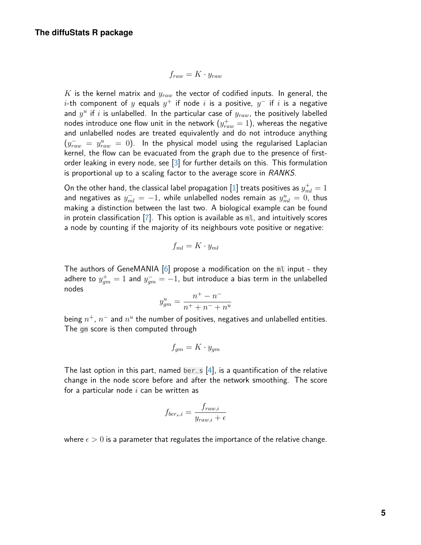$$
f_{raw} = K \cdot y_{raw}
$$

 $K$  is the kernel matrix and  $y_{raw}$  the vector of codified inputs. In general, the  $i$ -th component of  $y$  equals  $y^+$  if node  $i$  is a positive,  $y^-$  if  $i$  is a negative and  $y^u$  if  $i$  is unlabelled. In the particular case of  $y_{raw}$ , the positively labelled nodes introduce one flow unit in the network  $(y_{raw}^+=1)$ , whereas the negative and unlabelled nodes are treated equivalently and do not introduce anything  $\left( y_{raw}^{-}~=~y_{raw}^{u}~=~0 \right)$ . In the physical model using the regularised Laplacian kernel, the flow can be evacuated from the graph due to the presence of firstorder leaking in every node, see [\[3\]](#page-21-2) for further details on this. This formulation is proportional up to a scaling factor to the average score in RANKS.

On the other hand, the classical label propagation  $[1]$  treats positives as  $y_{ml}^+=1$ and negatives as  $y_{ml}^-=-1$ , while unlabelled nodes remain as  $y_{ml}^u=\stackrel{ \_}{0}$ , thus making a distinction between the last two. A biological example can be found in protein classification [\[7\]](#page-21-6). This option is available as ml, and intuitively scores a node by counting if the majority of its neighbours vote positive or negative:

$$
f_{ml} = K \cdot y_{ml}
$$

The authors of GeneMANIA  $[6]$  propose a modification on the ml input - they adhere to  $y^+_{gm}=1$  and  $y^-_{gm}=-1$ , but introduce a bias term in the unlabelled nodes

$$
y_{gm}^u = \frac{n^+ - n^-}{n^+ + n^- + n^u}
$$

being  $n^+$ ,  $n^-$  and  $n^u$  the number of positives, negatives and unlabelled entities. The gm score is then computed through

$$
f_{gm}=K\cdot y_{gm}
$$

The last option in this part, named ber  $\leq$  [\[4\]](#page-21-3), is a quantification of the relative change in the node score before and after the network smoothing. The score for a particular node  $i$  can be written as

$$
f_{ber_s,i} = \frac{f_{raw,i}}{y_{raw,i} + \epsilon}
$$

where  $\epsilon > 0$  is a parameter that regulates the importance of the relative change.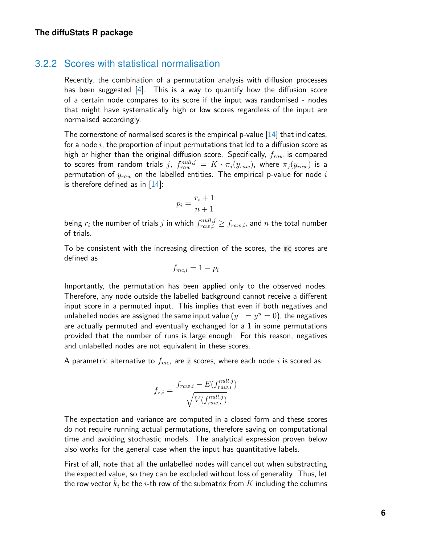#### 3.2.2 Scores with statistical normalisation

Recently, the combination of a permutation analysis with diffusion processes has been suggested [\[4\]](#page-21-3). This is a way to quantify how the diffusion score of a certain node compares to its score if the input was randomised - nodes that might have systematically high or low scores regardless of the input are normalised accordingly.

The cornerstone of normalised scores is the empirical p-value  $[14]$  that indicates, for a node  $i$ , the proportion of input permutations that led to a diffusion score as high or higher than the original diffusion score. Specifically,  $f_{raw}$  is compared to scores from random trials  $j, \; f_{raw}^{null,j} \, = \, K \cdot \pi_j(y_{raw}),$  where  $\pi_j(y_{raw})$  is a permutation of  $y_{raw}$  on the labelled entities. The empirical p-value for node i is therefore defined as in  $[14]$ :

$$
p_i = \frac{r_i + 1}{n + 1}
$$

being  $r_i$  the number of trials  $j$  in which  $f_{raw,i}^{null,j} \geq f_{raw,i}$ , and  $n$  the total number of trials.

To be consistent with the increasing direction of the scores, the mc scores are defined as

$$
f_{mc,i} = 1 - p_i
$$

Importantly, the permutation has been applied only to the observed nodes. Therefore, any node outside the labelled background cannot receive a different input score in a permuted input. This implies that even if both negatives and unlabelled nodes are assigned the same input value  $(y^+ = y^u = 0)$ , the negatives are actually permuted and eventually exchanged for a 1 in some permutations provided that the number of runs is large enough. For this reason, negatives and unlabelled nodes are not equivalent in these scores.

A parametric alternative to  $f_{mc}$ , are z scores, where each node i is scored as:

$$
f_{z,i} = \frac{f_{raw,i} - E(f_{raw,i}^{null,j})}{\sqrt{V(f_{raw,i}^{null,j})}}
$$

The expectation and variance are computed in a closed form and these scores do not require running actual permutations, therefore saving on computational time and avoiding stochastic models. The analytical expression proven below also works for the general case when the input has quantitative labels.

First of all, note that all the unlabelled nodes will cancel out when substracting the expected value, so they can be excluded without loss of generality. Thus, let the row vector  $k_i$  be the *i*-th row of the submatrix from  $K$  including the columns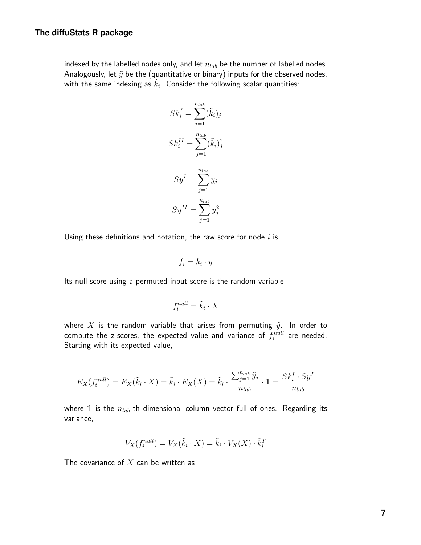indexed by the labelled nodes only, and let  $n_{lab}$  be the number of labelled nodes. Analogously, let  $\tilde{y}$  be the (quantitative or binary) inputs for the observed nodes, with the same indexing as  $\tilde{k}_i$ . Consider the following scalar quantities:

$$
Sk_i^I = \sum_{j=1}^{n_{lab}} (\tilde{k}_i)_j
$$

$$
Sk_i^{II} = \sum_{j=1}^{n_{lab}} (\tilde{k}_i)_j^2
$$

$$
Sy^I = \sum_{j=1}^{n_{lab}} \tilde{y}_j
$$

$$
Sy^{II} = \sum_{j=1}^{n_{lab}} \tilde{y}_j^2
$$

Using these definitions and notation, the raw score for node  $i$  is

$$
f_i = \tilde{k}_i \cdot \tilde{y}
$$

Its null score using a permuted input score is the random variable

$$
f_i^{null} = \tilde{k}_i \cdot X
$$

where X is the random variable that arises from permuting  $\tilde{y}$ . In order to compute the z-scores, the expected value and variance of  $f_i^{null}$  are needed. Starting with its expected value,

$$
E_X(f_i^{null}) = E_X(\tilde{k}_i \cdot X) = \tilde{k}_i \cdot E_X(X) = \tilde{k}_i \cdot \frac{\sum_{j=1}^{n_{lab}} \tilde{y}_j}{n_{lab}} \cdot 1 = \frac{Sk_i^I \cdot Sy^I}{n_{lab}}
$$

where 1 is the  $n_{lab}$ -th dimensional column vector full of ones. Regarding its variance,

$$
V_X(f_i^{null}) = V_X(\tilde{k}_i \cdot X) = \tilde{k}_i \cdot V_X(X) \cdot \tilde{k}_i^T
$$

The covariance of  $X$  can be written as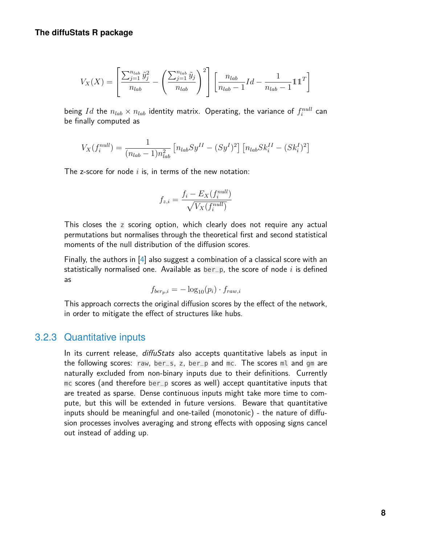$$
V_X(X) = \left[\frac{\sum_{j=1}^{n_{lab}} \tilde{y}_j^2}{n_{lab}} - \left(\frac{\sum_{j=1}^{n_{lab}} \tilde{y}_j}{n_{lab}}\right)^2\right] \left[\frac{n_{lab}}{n_{lab} - 1} Id - \frac{1}{n_{lab} - 1} \mathbb{1} \mathbb{1}^T\right]
$$

being  $Id$  the  $n_{lab} \times n_{lab}$  identity matrix. Operating, the variance of  $f_i^{null}$  can be finally computed as

$$
V_X(f_i^{null}) = \frac{1}{(n_{lab} - 1)n_{lab}^2} \left[ n_{lab} S y^{II} - (S y^I)^2 \right] \left[ n_{lab} S k_i^{II} - (S k_i^I)^2 \right]
$$

The z-score for node  $i$  is, in terms of the new notation:

$$
f_{z,i} = \frac{f_i - E_X(f_i^{null})}{\sqrt{V_X(f_i^{null})}}
$$

This closes the  $\overline{z}$  scoring option, which clearly does not require any actual permutations but normalises through the theoretical first and second statistical moments of the null distribution of the diffusion scores.

Finally, the authors in [\[4\]](#page-21-3) also suggest a combination of a classical score with an statistically normalised one. Available as  $ber_p$ , the score of node i is defined as

$$
f_{ber_p,i} = -\log_{10}(p_i) \cdot f_{raw,i}
$$

This approach corrects the original diffusion scores by the effect of the network, in order to mitigate the effect of structures like hubs.

#### 3.2.3 Quantitative inputs

In its current release, *diffuStats* also accepts quantitative labels as input in the following scores: raw, ber\_s, z, ber\_p and mc. The scores ml and gm are naturally excluded from non-binary inputs due to their definitions. Currently mc scores (and therefore ber\_p scores as well) accept quantitative inputs that are treated as sparse. Dense continuous inputs might take more time to compute, but this will be extended in future versions. Beware that quantitative inputs should be meaningful and one-tailed (monotonic) - the nature of diffusion processes involves averaging and strong effects with opposing signs cancel out instead of adding up.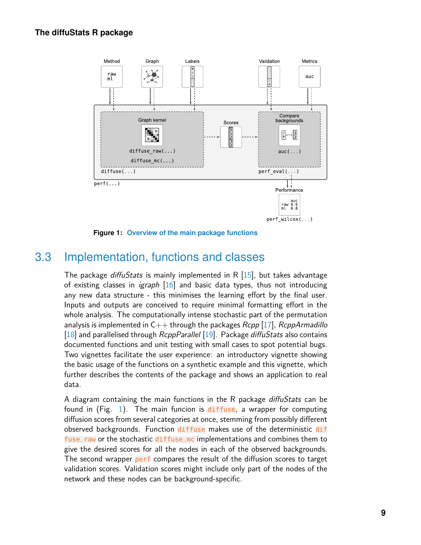<span id="page-8-0"></span>

**Figure 1: Overview of the main package functions**

### 3.3 Implementation, functions and classes

The package *diffuStats* is mainly implemented in R  $[15]$ , but takes advantage of existing classes in *igraph*  $[16]$  and basic data types, thus not introducing any new data structure - this minimises the learning effort by the final user. Inputs and outputs are conceived to require minimal formatting effort in the whole analysis. The computationally intense stochastic part of the permutation analysis is implemented in  $C_{++}$  through the packages Rcpp [\[17\]](#page-22-7), RcppArmadillo [\[18\]](#page-22-8) and parallelised through  $RcppParallel$  [\[19\]](#page-22-9). Package diffuStats also contains documented functions and unit testing with small cases to spot potential bugs. Two vignettes facilitate the user experience: an introductory vignette showing the basic usage of the functions on a synthetic example and this vignette, which further describes the contents of the package and shows an application to real data.

A diagram containing the main functions in the R package *diffuStats* can be found in (Fig. [1\)](#page-8-0). The main funcion is diffuse, a wrapper for computing diffusion scores from several categories at once, stemming from possibly different observed backgrounds. Function diffuse makes use of the deterministic dif fuse\_raw or the stochastic diffuse\_mc implementations and combines them to give the desired scores for all the nodes in each of the observed backgrounds. The second wrapper perf compares the result of the diffusion scores to target validation scores. Validation scores might include only part of the nodes of the network and these nodes can be background-specific.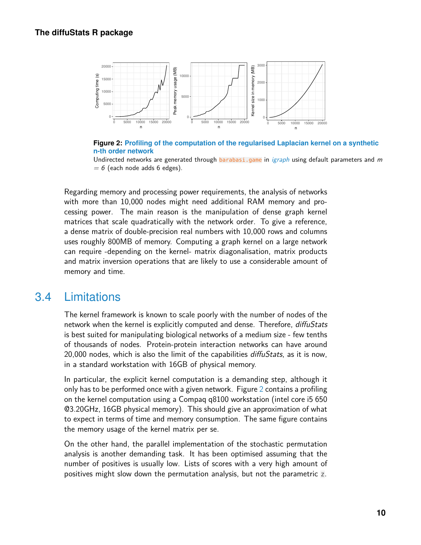<span id="page-9-0"></span>

**Figure 2: Profiling of the computation of the regularised Laplacian kernel on a synthetic n-th order network**

Undirected networks are generated through barabasi.game in [igraph](https://CRAN.R-project.org/package=igraph) using default parameters and  $m$  $= 6$  (each node adds 6 edges).

Regarding memory and processing power requirements, the analysis of networks with more than 10,000 nodes might need additional RAM memory and processing power. The main reason is the manipulation of dense graph kernel matrices that scale quadratically with the network order. To give a reference, a dense matrix of double-precision real numbers with 10,000 rows and columns uses roughly 800MB of memory. Computing a graph kernel on a large network can require -depending on the kernel- matrix diagonalisation, matrix products and matrix inversion operations that are likely to use a considerable amount of memory and time.

### 3.4 Limitations

The kernel framework is known to scale poorly with the number of nodes of the network when the kernel is explicitly computed and dense. Therefore, diffuStats is best suited for manipulating biological networks of a medium size - few tenths of thousands of nodes. Protein-protein interaction networks can have around 20,000 nodes, which is also the limit of the capabilities *diffuStats*, as it is now, in a standard workstation with 16GB of physical memory.

In particular, the explicit kernel computation is a demanding step, although it only has to be performed once with a given network. Figure [2](#page-9-0) contains a profiling on the kernel computation using a Compaq q8100 workstation (intel core i5 650 @3.20GHz, 16GB physical memory). This should give an approximation of what to expect in terms of time and memory consumption. The same figure contains the memory usage of the kernel matrix per se.

On the other hand, the parallel implementation of the stochastic permutation analysis is another demanding task. It has been optimised assuming that the number of positives is usually low. Lists of scores with a very high amount of positives might slow down the permutation analysis, but not the parametric z.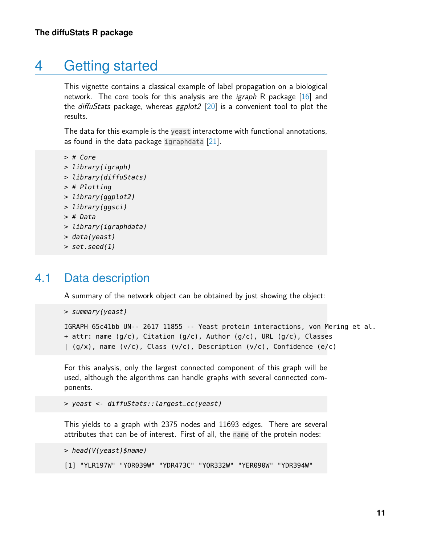## 4 Getting started

This vignette contains a classical example of label propagation on a biological network. The core tools for this analysis are the igraph R package [\[16\]](#page-22-6) and the *diffuStats* package, whereas  $ggplot2$  [\[20\]](#page-22-10) is a convenient tool to plot the results.

The data for this example is the yeast interactome with functional annotations, as found in the data package igraphdata  $[21]$ .

```
> # Core
```
- > library(igraph)
- > library(diffuStats)
- > # Plotting
- > library(ggplot2)
- > library(ggsci)
- > # Data
- > library(igraphdata)
- > data(yeast)
- $> set. seed(1)$

### 4.1 Data description

A summary of the network object can be obtained by just showing the object:

```
> summary(yeast)
```

```
IGRAPH 65c41bb UN-- 2617 11855 -- Yeast protein interactions, von Mering et al.
+ attr: name (g/c), Citation (g/c), Author (g/c), URL (g/c), Classes
| (g/x), name (v/c), Class (v/c), Description (v/c), Confidence (e/c)
```
For this analysis, only the largest connected component of this graph will be used, although the algorithms can handle graphs with several connected components.

```
> yeast <- diffuStats::largest_cc(yeast)
```
This yields to a graph with 2375 nodes and 11693 edges. There are several attributes that can be of interest. First of all, the name of the protein nodes:

```
> head(V(yeast)$name)
[1] "YLR197W" "YOR039W" "YDR473C" "YOR332W" "YER090W" "YDR394W"
```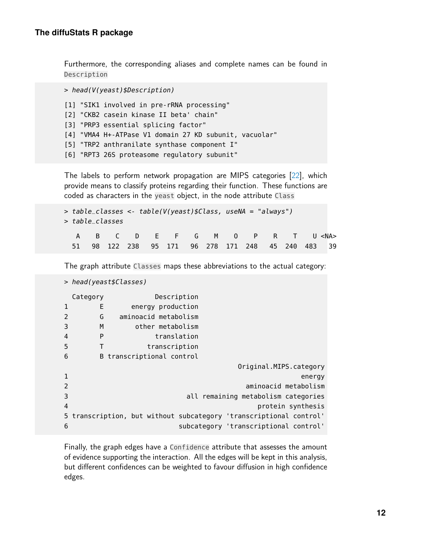Furthermore, the corresponding aliases and complete names can be found in Description

```
> head(V(yeast)$Description)
[1] "SIK1 involved in pre-rRNA processing"
[2] "CKB2 casein kinase II beta' chain"
[3] "PRP3 essential splicing factor"
[4] "VMA4 H+-ATPase V1 domain 27 KD subunit, vacuolar"
[5] "TRP2 anthranilate synthase component I"
[6] "RPT3 26S proteasome regulatory subunit"
```
The labels to perform network propagation are MIPS categories [\[22\]](#page-23-0), which provide means to classify proteins regarding their function. These functions are coded as characters in the yeast object, in the node attribute Class

```
> table_classes <- table(V(yeast)$Class, useNA = "always")
> table_classes
  A B C D E F G M O P R T U <NA>
 51 98 122 238 95 171 96 278 171 248 45 240 483 39
```
The graph attribute Classes maps these abbreviations to the actual category:

```
> head(yeast$Classes)
 Category Description
1 E energy production
2 G aminoacid metabolism
3 M other metabolism
4 P translation
5 T transcription
6 B transcriptional control
                                       Original.MIPS.category
1 energy and the contract of the contract of the contract of the contract of the contract of the contract of the contract of the contract of the contract of the contract of the contract of the contract of the contract o
2 aminoacid metabolism
3 all remaining metabolism categories
4 protein synthesis
5 transcription, but without subcategory 'transcriptional control'
6 subcategory 'transcriptional control'
```
Finally, the graph edges have a Confidence attribute that assesses the amount of evidence supporting the interaction. All the edges will be kept in this analysis, but different confidences can be weighted to favour diffusion in high confidence edges.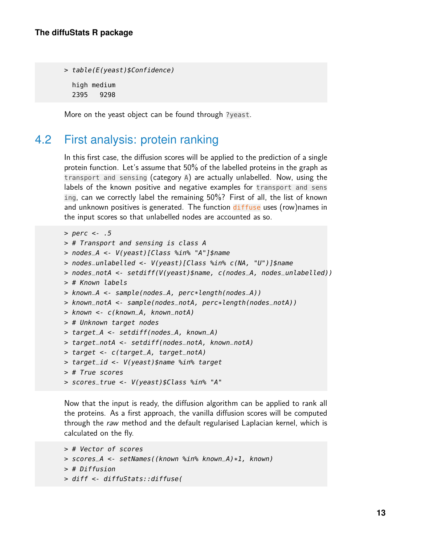```
> table(E(yeast)$Confidence)
  high medium
  2395 9298
```
More on the yeast object can be found through ?yeast.

### 4.2 First analysis: protein ranking

In this first case, the diffusion scores will be applied to the prediction of a single protein function. Let's assume that 50% of the labelled proteins in the graph as transport and sensing (category A) are actually unlabelled. Now, using the labels of the known positive and negative examples for transport and sens ing, can we correctly label the remaining 50%? First of all, the list of known and unknown positives is generated. The function diffuse uses (row)names in the input scores so that unlabelled nodes are accounted as so.

```
> perc <- .5
> # Transport and sensing is class A
> nodes_A <- V(yeast)[Class %in% "A"]$name
> nodes_unlabelled <- V(yeast)[Class %in% c(NA, "U")]$name
> nodes_notA <- setdiff(V(yeast)$name, c(nodes_A, nodes_unlabelled))
> # Known labels
> known_A <- sample(nodes_A, perc*length(nodes_A))
> known_notA <- sample(nodes_notA, perc*length(nodes_notA))
> known <- c(known_A, known_notA)
> # Unknown target nodes
> target_A <- setdiff(nodes_A, known_A)
> target_notA <- setdiff(nodes_notA, known_notA)
> target <- c(target_A, target_notA)
> target_id <- V(yeast)$name %in% target
> # True scores
> scores_true <- V(yeast)$Class %in% "A"
```
Now that the input is ready, the diffusion algorithm can be applied to rank all the proteins. As a first approach, the vanilla diffusion scores will be computed through the raw method and the default regularised Laplacian kernel, which is calculated on the fly.

```
> # Vector of scores
> scores_A <- setNames((known %in% known_A)*1, known)
> # Diffusion
> diff <- diffuStats::diffuse(
```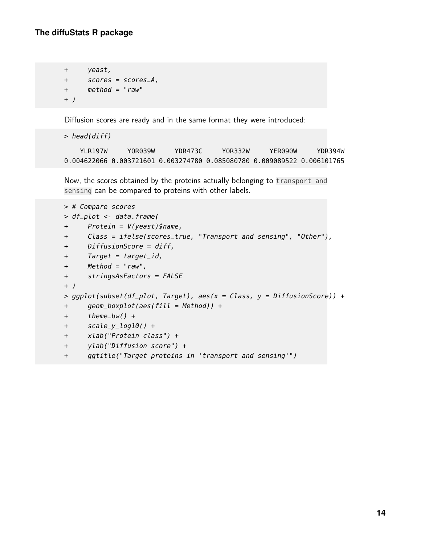```
+ yeast,
+ scores = scores_A,
+ method = "raw"
+ )
```
Diffusion scores are ready and in the same format they were introduced:

> head(diff)

YLR197W YOR039W YDR473C YOR332W YER090W YDR394W 0.004622066 0.003721601 0.003274780 0.085080780 0.009089522 0.006101765

Now, the scores obtained by the proteins actually belonging to transport and sensing can be compared to proteins with other labels.

```
> # Compare scores
> df_plot <- data.frame(
+ Protein = V(yeast)$name,
+ Class = ifelse(scores_true, "Transport and sensing", "Other"),
+ DiffusionScore = diff,
+ Target = target_id,
+ Method = "raw",
+ stringsAsFactors = FALSE
+ )
> ggplot(subset(df_plot, Target), aes(x = Class, y = DiffusionScore)) +
+ geom_boxplot(aes(fill = Method)) +
+ theme_bw() +
+ scale_y_log10() +
+ xlab("Protein class") +
+ ylab("Diffusion score") +
+ ggtitle("Target proteins in 'transport and sensing'")
```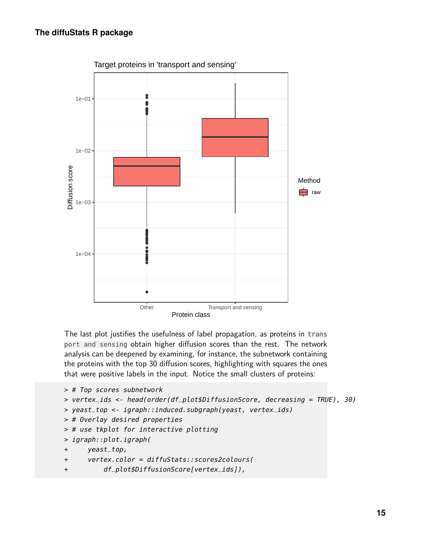

The last plot justifies the usefulness of label propagation, as proteins in trans port and sensing obtain higher diffusion scores than the rest. The network analysis can be deepened by examining, for instance, the subnetwork containing the proteins with the top 30 diffusion scores, highlighting with squares the ones that were positive labels in the input. Notice the small clusters of proteins:

```
> # Top scores subnetwork
> vertex_ids <- head(order(df_plot$DiffusionScore, decreasing = TRUE), 30)
> yeast_top <- igraph::induced.subgraph(yeast, vertex_ids)
> # Overlay desired properties
> # use tkplot for interactive plotting
> igraph::plot.igraph(
+ yeast_top,
+ vertex.color = diffuStats::scores2colours(
+ df_plot$DiffusionScore[vertex_ids]),
```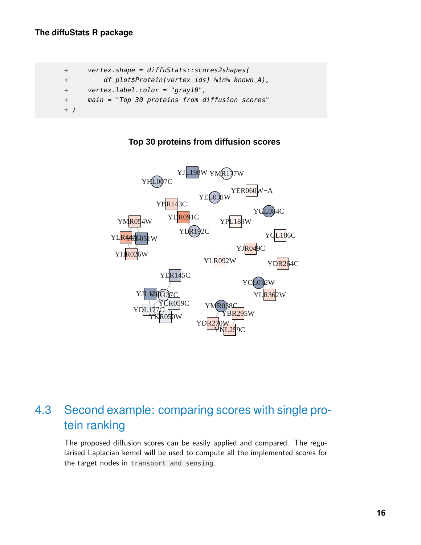```
+ vertex.shape = diffuStats::scores2shapes(
+ df_plot$Protein[vertex_ids] %in% known_A),
+ vertex.label.color = "gray10",
+ main = "Top 30 proteins from diffusion scores"
+ )
```


#### **Top 30 proteins from diffusion scores**

## 4.3 Second example: comparing scores with single protein ranking

The proposed diffusion scores can be easily applied and compared. The regularised Laplacian kernel will be used to compute all the implemented scores for the target nodes in transport and sensing.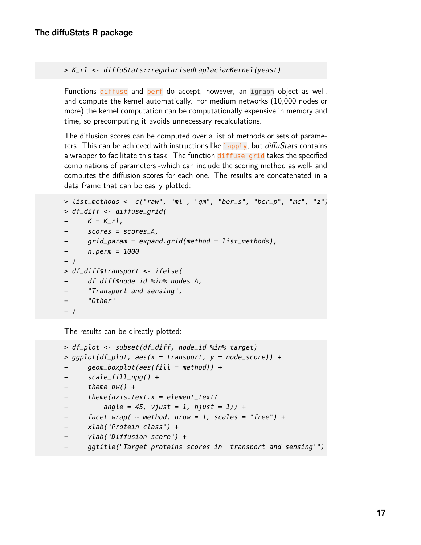> K\_rl <- diffuStats::regularisedLaplacianKernel(yeast)

Functions diffuse and perf do accept, however, an igraph object as well, and compute the kernel automatically. For medium networks (10,000 nodes or more) the kernel computation can be computationally expensive in memory and time, so precomputing it avoids unnecessary recalculations.

The diffusion scores can be computed over a list of methods or sets of parameters. This can be achieved with instructions like Lapply, but *diffuStats* contains a wrapper to facilitate this task. The function diffuse\_grid takes the specified combinations of parameters -which can include the scoring method as well- and computes the diffusion scores for each one. The results are concatenated in a data frame that can be easily plotted:

```
> list_methods <- c("raw", "ml", "gm", "ber_s", "ber_p", "mc", "z")
> df_diff <- diffuse_grid(
+ K = K_r l,
+ scores = scores_A,
+ grid_param = expand.grid(method = list_methods),
+ n.perm = 1000
+ )
> df_diff$transport <- ifelse(
+ df_diff$node_id %in% nodes_A,
+ "Transport and sensing",
+ "Other"
+ )
```
The results can be directly plotted:

```
> df_plot <- subset(df_diff, node_id %in% target)
> qqplot(df_plot, aes(x = transport, y = node_score)) +
+ geom_boxplot(aes(fill = method)) +
+ scale_fill_npg() +
+ theme_bw() +
+ theme(axis.text.x = element_text(
+ angle = 45, vjust = 1, hjust = 1)) +
+ facet_wrap( \sim method, nrow = 1, scales = "free") +
+ xlab("Protein class") +
+ ylab("Diffusion score") +
+ ggtitle("Target proteins scores in 'transport and sensing'")
```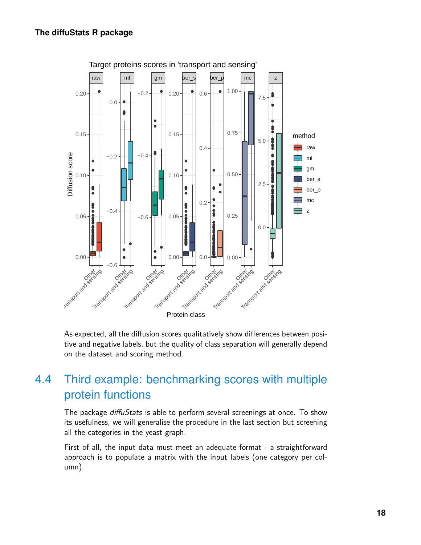

As expected, all the diffusion scores qualitatively show differences between positive and negative labels, but the quality of class separation will generally depend on the dataset and scoring method.

### 4.4 Third example: benchmarking scores with multiple protein functions

The package *diffuStats* is able to perform several screenings at once. To show its usefulness, we will generalise the procedure in the last section but screening all the categories in the yeast graph.

First of all, the input data must meet an adequate format - a straightforward approach is to populate a matrix with the input labels (one category per column).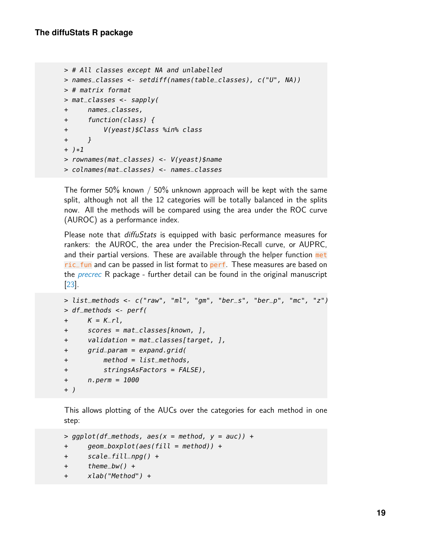```
> # All classes except NA and unlabelled
> names_classes <- setdiff(names(table_classes), c("U", NA))
> # matrix format
> mat_classes <- sapply(
+ names_classes,
+ function(class) {
+ V(yeast)$Class %in% class
+ }
+ )*1
> rownames(mat_classes) <- V(yeast)$name
> colnames(mat_classes) <- names_classes
```
The former 50% known / 50% unknown approach will be kept with the same split, although not all the 12 categories will be totally balanced in the splits now. All the methods will be compared using the area under the ROC curve (AUROC) as a performance index.

Please note that diffuStats is equipped with basic performance measures for rankers: the AUROC, the area under the Precision-Recall curve, or AUPRC, and their partial versions. These are available through the helper function met ric\_fun and can be passed in list format to perf. These measures are based on the *[precrec](https://CRAN.R-project.org/package=precrec)* R package - further detail can be found in the original manuscript [\[23\]](#page-23-1).

```
> list_methods <- c("raw", "ml", "gm", "ber_s", "ber_p", "mc", "z")
> df_methods <- perf(
+ K = K_r l,
+ scores = mat_classes[known, ],
+ validation = mat_classes[target, ],
+ grid_param = expand.grid(
+ method = list_methods,
+ stringsAsFactors = FALSE),
+ n.perm = 1000
+ )
```
This allows plotting of the AUCs over the categories for each method in one step:

```
> ggplot(df_methods, aes(x = method, y = auc)) +
+ geom_boxplot(aes(fill = method)) +
+ scale_fill_npg() +
+ theme_bw() +
+ xlab("Method") +
```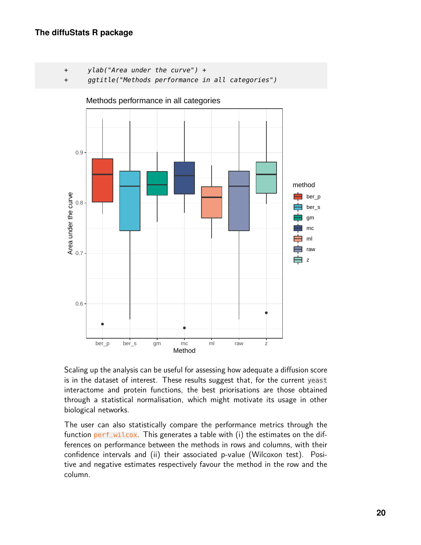- + ylab("Area under the curve") +
- + ggtitle("Methods performance in all categories")



Methods performance in all categories

Scaling up the analysis can be useful for assessing how adequate a diffusion score is in the dataset of interest. These results suggest that, for the current yeast interactome and protein functions, the best priorisations are those obtained through a statistical normalisation, which might motivate its usage in other biological networks.

The user can also statistically compare the performance metrics through the function perf\_wilcox. This generates a table with (i) the estimates on the differences on performance between the methods in rows and columns, with their confidence intervals and (ii) their associated p-value (Wilcoxon test). Positive and negative estimates respectively favour the method in the row and the column.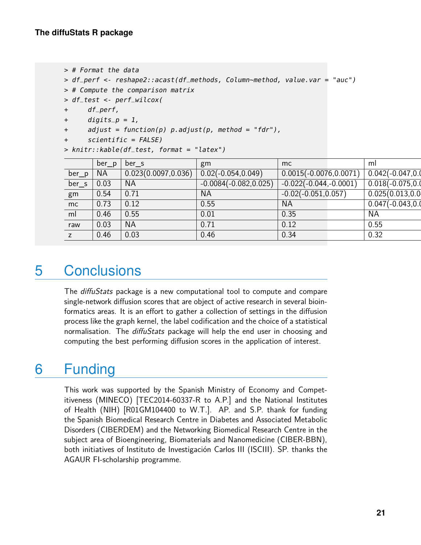```
> # Format the data
```

```
> df_perf <- reshape2::acast(df_methods, Column~method, value.var = "auc")
```

```
> # Compute the comparison matrix
```

```
> df_test <- perf_wilcox(
```

```
+ df_perf,
```

```
+ \frac{digits}{p} = 1,
```
- + adjust = function(p) p.adjust(p, method = "fdr"),
- + scientific = FALSE)

> knitr::kable(df\_test, format = "latex")

|          | ber_p     | ber s                | gm                       | mc                        | ml                    |
|----------|-----------|----------------------|--------------------------|---------------------------|-----------------------|
| $ber\_p$ | <b>NA</b> | 0.023(0.0097, 0.036) | $0.02(-0.054, 0.049)$    | $0.0015(-0.0076, 0.0071)$ | $0.042(-0.047, 0.0$   |
| $ber\_s$ | 0.03      | <b>NA</b>            | $-0.0084(-0.082, 0.025)$ | $-0.022(-0.044,-0.0001)$  | $0.018(-0.075, 0.01)$ |
| gm       | 0.54      | 0.71                 | <b>NA</b>                | $-0.02(-0.051, 0.057)$    | 0.025(0.013, 0.0      |
| mc       | 0.73      | 0.12                 | 0.55                     | <b>NA</b>                 | $0.047(-0.043, 0.0$   |
| ml       | 0.46      | 0.55                 | 0.01                     | 0.35                      | <b>NA</b>             |
| raw      | 0.03      | <b>NA</b>            | 0.71                     | 0.12                      | 0.55                  |
|          | 0.46      | 0.03                 | 0.46                     | 0.34                      | 0.32                  |

## 5 Conclusions

The diffuStats package is a new computational tool to compute and compare single-network diffusion scores that are object of active research in several bioinformatics areas. It is an effort to gather a collection of settings in the diffusion process like the graph kernel, the label codification and the choice of a statistical normalisation. The *diffuStats* package will help the end user in choosing and computing the best performing diffusion scores in the application of interest.

## 6 Funding

This work was supported by the Spanish Ministry of Economy and Competitiveness (MINECO) [TEC2014-60337-R to A.P.] and the National Institutes of Health (NIH) [R01GM104400 to W.T.]. AP. and S.P. thank for funding the Spanish Biomedical Research Centre in Diabetes and Associated Metabolic Disorders (CIBERDEM) and the Networking Biomedical Research Centre in the subject area of Bioengineering, Biomaterials and Nanomedicine (CIBER-BBN), both initiatives of Instituto de Investigación Carlos III (ISCIII). SP. thanks the AGAUR FI-scholarship programme.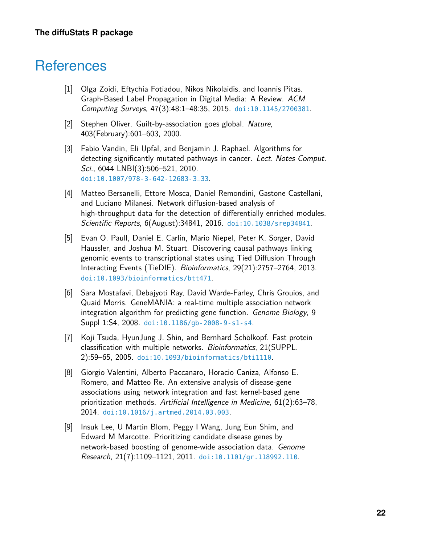## **References**

- <span id="page-21-0"></span>[1] Olga Zoidi, Eftychia Fotiadou, Nikos Nikolaidis, and Ioannis Pitas. Graph-Based Label Propagation in Digital Media: A Review. ACM Computing Surveys, 47(3):48:1–48:35, 2015. [doi:10.1145/2700381](http://dx.doi.org/10.1145/2700381).
- <span id="page-21-1"></span>[2] Stephen Oliver. Guilt-by-association goes global. Nature, 403(February):601–603, 2000.
- <span id="page-21-2"></span>[3] Fabio Vandin, Eli Upfal, and Benjamin J. Raphael. Algorithms for detecting significantly mutated pathways in cancer. Lect. Notes Comput. Sci., 6044 LNBI(3):506–521, 2010. [doi:10.1007/978-3-642-12683-3\\_33](http://dx.doi.org/10.1007/978-3-642-12683-3_33).
- <span id="page-21-3"></span>[4] Matteo Bersanelli, Ettore Mosca, Daniel Remondini, Gastone Castellani, and Luciano Milanesi. Network diffusion-based analysis of high-throughput data for the detection of differentially enriched modules. Scientific Reports, 6(August):34841, 2016. [doi:10.1038/srep34841](http://dx.doi.org/10.1038/srep34841).
- <span id="page-21-4"></span>[5] Evan O. Paull, Daniel E. Carlin, Mario Niepel, Peter K. Sorger, David Haussler, and Joshua M. Stuart. Discovering causal pathways linking genomic events to transcriptional states using Tied Diffusion Through Interacting Events (TieDIE). Bioinformatics, 29(21):2757–2764, 2013. [doi:10.1093/bioinformatics/btt471](http://dx.doi.org/10.1093/bioinformatics/btt471).
- <span id="page-21-5"></span>[6] Sara Mostafavi, Debajyoti Ray, David Warde-Farley, Chris Grouios, and Quaid Morris. GeneMANIA: a real-time multiple association network integration algorithm for predicting gene function. Genome Biology, 9 Suppl 1:S4, 2008. [doi:10.1186/gb-2008-9-s1-s4](http://dx.doi.org/10.1186/gb-2008-9-s1-s4).
- <span id="page-21-6"></span>[7] Koji Tsuda, HyunJung J. Shin, and Bernhard Schölkopf. Fast protein classification with multiple networks. Bioinformatics, 21(SUPPL. 2):59–65, 2005. [doi:10.1093/bioinformatics/bti1110](http://dx.doi.org/10.1093/bioinformatics/bti1110).
- <span id="page-21-7"></span>[8] Giorgio Valentini, Alberto Paccanaro, Horacio Caniza, Alfonso E. Romero, and Matteo Re. An extensive analysis of disease-gene associations using network integration and fast kernel-based gene prioritization methods. Artificial Intelligence in Medicine, 61(2):63–78, 2014. [doi:10.1016/j.artmed.2014.03.003](http://dx.doi.org/10.1016/j.artmed.2014.03.003).
- <span id="page-21-8"></span>[9] Insuk Lee, U Martin Blom, Peggy I Wang, Jung Eun Shim, and Edward M Marcotte. Prioritizing candidate disease genes by network-based boosting of genome-wide association data. Genome Research, 21(7):1109–1121, 2011. [doi:10.1101/gr.118992.110](http://dx.doi.org/10.1101/gr.118992.110).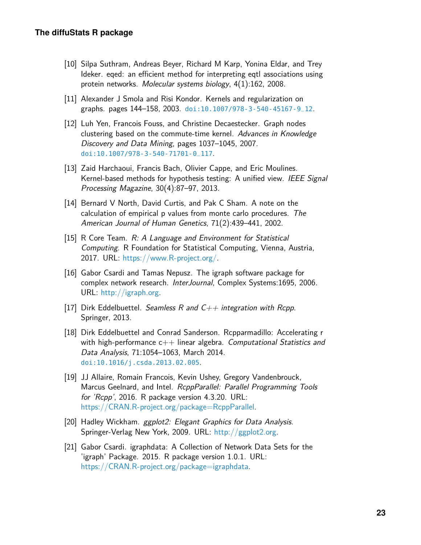- <span id="page-22-0"></span>[10] Silpa Suthram, Andreas Beyer, Richard M Karp, Yonina Eldar, and Trey Ideker. eqed: an efficient method for interpreting eqtl associations using protein networks. Molecular systems biology, 4(1):162, 2008.
- <span id="page-22-1"></span>[11] Alexander J Smola and Risi Kondor. Kernels and regularization on graphs. pages 144–158, 2003. [doi:10.1007/978-3-540-45167-9\\_12](http://dx.doi.org/10.1007/978-3-540-45167-9_12).
- <span id="page-22-2"></span>[12] Luh Yen, Francois Fouss, and Christine Decaestecker. Graph nodes clustering based on the commute-time kernel. Advances in Knowledge Discovery and Data Mining, pages 1037–1045, 2007. [doi:10.1007/978-3-540-71701-0\\_117](http://dx.doi.org/10.1007/978-3-540-71701-0_117).
- <span id="page-22-3"></span>[13] Zaid Harchaoui, Francis Bach, Olivier Cappe, and Eric Moulines. Kernel-based methods for hypothesis testing: A unified view. IEEE Signal Processing Magazine, 30(4):87–97, 2013.
- <span id="page-22-4"></span>[14] Bernard V North, David Curtis, and Pak C Sham. A note on the calculation of empirical p values from monte carlo procedures. The American Journal of Human Genetics, 71(2):439–441, 2002.
- <span id="page-22-5"></span>[15] R Core Team. R: A Language and Environment for Statistical Computing. R Foundation for Statistical Computing, Vienna, Austria, 2017. URL: [https://www.R-project.org/.](https://www.R-project.org/)
- <span id="page-22-6"></span>[16] Gabor Csardi and Tamas Nepusz. The igraph software package for complex network research. InterJournal, Complex Systems:1695, 2006. URL: [http://igraph.org.](http://igraph.org)
- <span id="page-22-7"></span>[17] Dirk Eddelbuettel. Seamless R and  $C_{++}$  integration with Rcpp. Springer, 2013.
- <span id="page-22-8"></span>[18] Dirk Eddelbuettel and Conrad Sanderson. Rcpparmadillo: Accelerating r with high-performance  $c++$  linear algebra. Computational Statistics and Data Analysis, 71:1054–1063, March 2014. [doi:10.1016/j.csda.2013.02.005](http://dx.doi.org/10.1016/j.csda.2013.02.005).
- <span id="page-22-9"></span>[19] JJ Allaire, Romain Francois, Kevin Ushey, Gregory Vandenbrouck, Marcus Geelnard, and Intel. RcppParallel: Parallel Programming Tools for 'Rcpp', 2016. R package version 4.3.20. URL: [https://CRAN.R-project.org/package=RcppParallel.](https://CRAN.R-project.org/package=RcppParallel)
- <span id="page-22-10"></span>[20] Hadley Wickham. ggplot2: Elegant Graphics for Data Analysis. Springer-Verlag New York, 2009. URL: [http://ggplot2.org.](http://ggplot2.org)
- <span id="page-22-11"></span>[21] Gabor Csardi. igraphdata: A Collection of Network Data Sets for the 'igraph' Package. 2015. R package version 1.0.1. URL: [https://CRAN.R-project.org/package=igraphdata.](https://CRAN.R-project.org/package=igraphdata)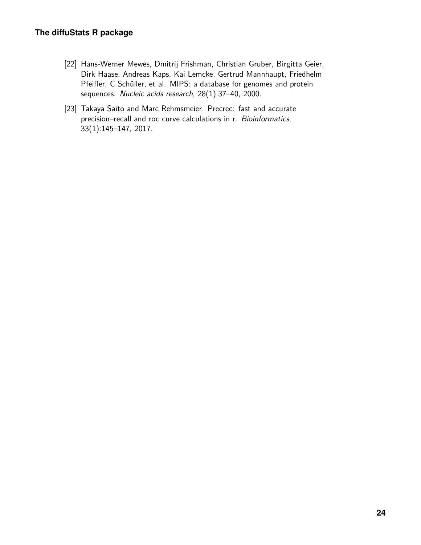- <span id="page-23-0"></span>[22] Hans-Werner Mewes, Dmitrij Frishman, Christian Gruber, Birgitta Geier, Dirk Haase, Andreas Kaps, Kai Lemcke, Gertrud Mannhaupt, Friedhelm Pfeiffer, C Schüller, et al. MIPS: a database for genomes and protein sequences. Nucleic acids research, 28(1):37–40, 2000.
- <span id="page-23-1"></span>[23] Takaya Saito and Marc Rehmsmeier. Precrec: fast and accurate precision–recall and roc curve calculations in r. Bioinformatics, 33(1):145–147, 2017.